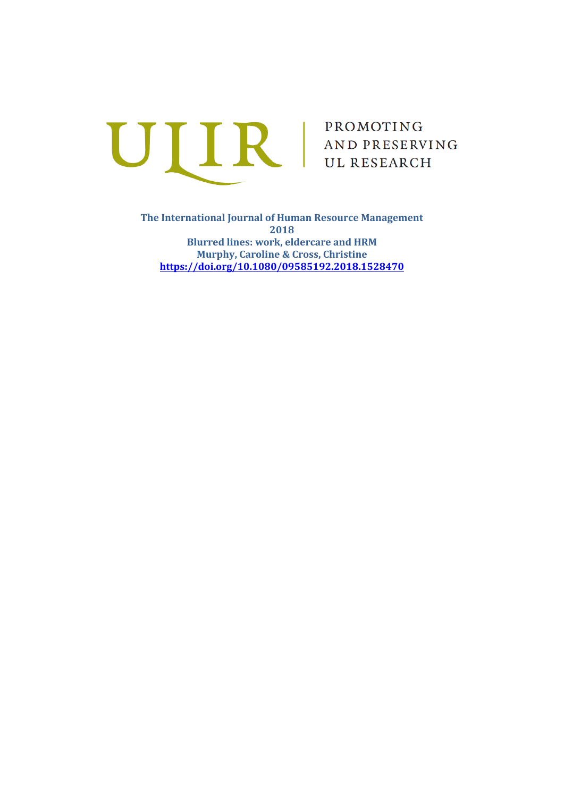

**The International Journal of Human Resource Management 2018 Blurred lines: work, eldercare and HRM Murphy, Caroline & Cross, Christine <https://doi.org/10.1080/09585192.2018.1528470>**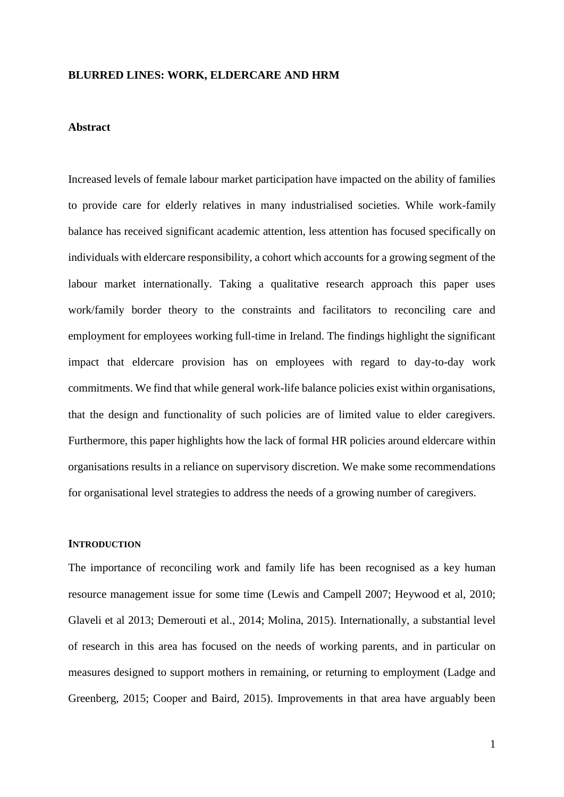### **BLURRED LINES: WORK, ELDERCARE AND HRM**

#### **Abstract**

Increased levels of female labour market participation have impacted on the ability of families to provide care for elderly relatives in many industrialised societies. While work-family balance has received significant academic attention, less attention has focused specifically on individuals with eldercare responsibility, a cohort which accounts for a growing segment of the labour market internationally. Taking a qualitative research approach this paper uses work/family border theory to the constraints and facilitators to reconciling care and employment for employees working full-time in Ireland. The findings highlight the significant impact that eldercare provision has on employees with regard to day-to-day work commitments. We find that while general work-life balance policies exist within organisations, that the design and functionality of such policies are of limited value to elder caregivers. Furthermore, this paper highlights how the lack of formal HR policies around eldercare within organisations results in a reliance on supervisory discretion. We make some recommendations for organisational level strategies to address the needs of a growing number of caregivers.

# **INTRODUCTION**

The importance of reconciling work and family life has been recognised as a key human resource management issue for some time (Lewis and Campell 2007; Heywood et al, 2010; Glaveli et al 2013; Demerouti et al., 2014; Molina, 2015). Internationally, a substantial level of research in this area has focused on the needs of working parents, and in particular on measures designed to support mothers in remaining, or returning to employment (Ladge and Greenberg, 2015; Cooper and Baird, 2015). Improvements in that area have arguably been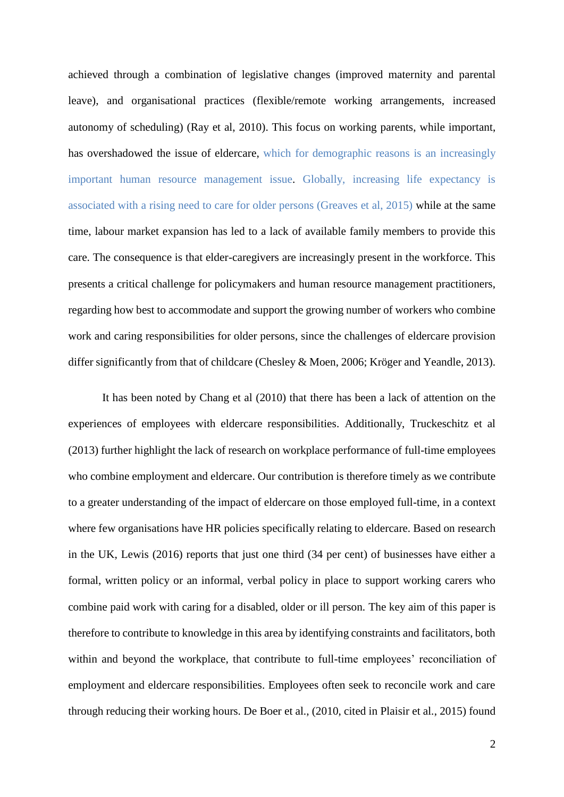achieved through a combination of legislative changes (improved maternity and parental leave), and organisational practices (flexible/remote working arrangements, increased autonomy of scheduling) (Ray et al, 2010). This focus on working parents, while important, has overshadowed the issue of eldercare, which for demographic reasons is an increasingly important human resource management issue. Globally, increasing life expectancy is associated with a rising need to care for older persons (Greaves et al, 2015) while at the same time, labour market expansion has led to a lack of available family members to provide this care. The consequence is that elder-caregivers are increasingly present in the workforce. This presents a critical challenge for policymakers and human resource management practitioners, regarding how best to accommodate and support the growing number of workers who combine work and caring responsibilities for older persons, since the challenges of eldercare provision differ significantly from that of childcare (Chesley & Moen, 2006; Kröger and Yeandle, 2013).

It has been noted by Chang et al (2010) that there has been a lack of attention on the experiences of employees with eldercare responsibilities. Additionally, Truckeschitz et al (2013) further highlight the lack of research on workplace performance of full-time employees who combine employment and eldercare. Our contribution is therefore timely as we contribute to a greater understanding of the impact of eldercare on those employed full-time, in a context where few organisations have HR policies specifically relating to eldercare. Based on research in the UK, Lewis (2016) reports that just one third (34 per cent) of businesses have either a formal, written policy or an informal, verbal policy in place to support working carers who combine paid work with caring for a disabled, older or ill person. The key aim of this paper is therefore to contribute to knowledge in this area by identifying constraints and facilitators, both within and beyond the workplace, that contribute to full-time employees' reconciliation of employment and eldercare responsibilities. Employees often seek to reconcile work and care through reducing their working hours. De Boer et al., (2010, cited in Plaisir et al., 2015) found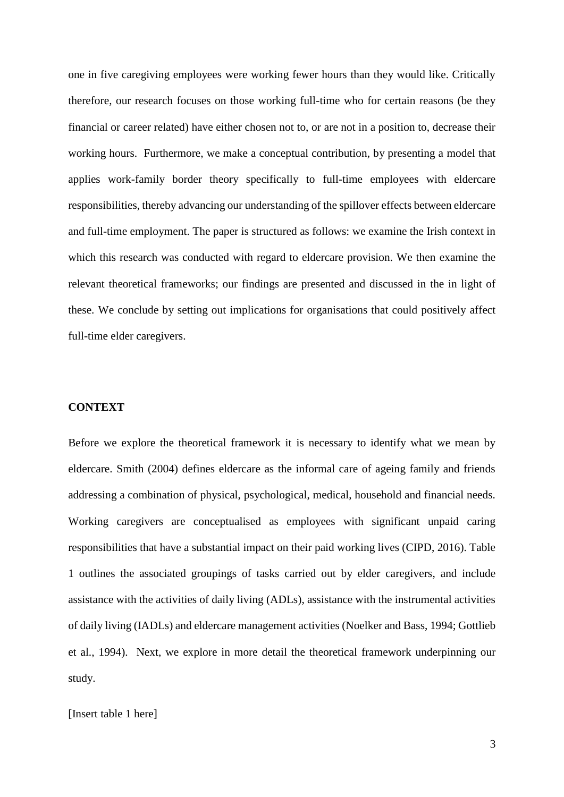one in five caregiving employees were working fewer hours than they would like. Critically therefore, our research focuses on those working full-time who for certain reasons (be they financial or career related) have either chosen not to, or are not in a position to, decrease their working hours. Furthermore, we make a conceptual contribution, by presenting a model that applies work-family border theory specifically to full-time employees with eldercare responsibilities, thereby advancing our understanding of the spillover effects between eldercare and full-time employment. The paper is structured as follows: we examine the Irish context in which this research was conducted with regard to eldercare provision. We then examine the relevant theoretical frameworks; our findings are presented and discussed in the in light of these. We conclude by setting out implications for organisations that could positively affect full-time elder caregivers.

### **CONTEXT**

Before we explore the theoretical framework it is necessary to identify what we mean by eldercare. Smith (2004) defines eldercare as the informal care of ageing family and friends addressing a combination of physical, psychological, medical, household and financial needs. Working caregivers are conceptualised as employees with significant unpaid caring responsibilities that have a substantial impact on their paid working lives (CIPD, 2016). Table 1 outlines the associated groupings of tasks carried out by elder caregivers, and include assistance with the activities of daily living (ADLs), assistance with the instrumental activities of daily living (IADLs) and eldercare management activities (Noelker and Bass, 1994; Gottlieb et al., 1994). Next, we explore in more detail the theoretical framework underpinning our study.

### [Insert table 1 here]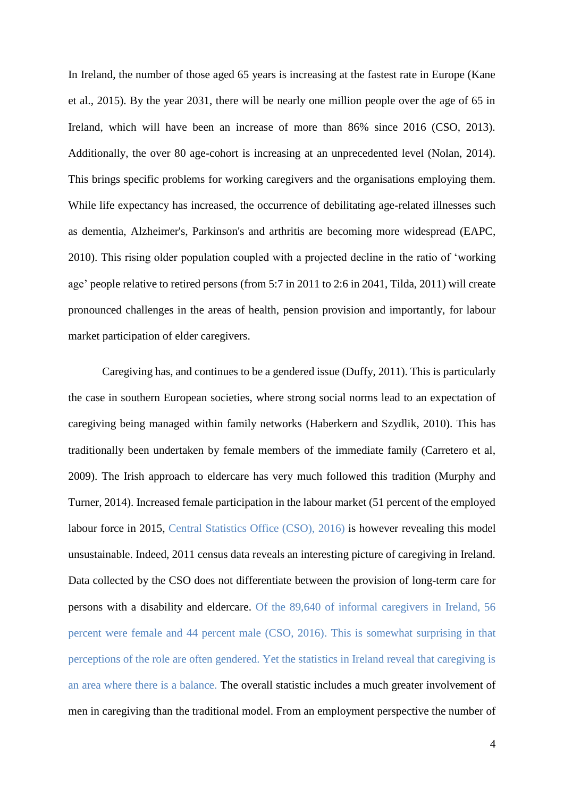In Ireland, the number of those aged 65 years is increasing at the fastest rate in Europe (Kane et al., 2015). By the year 2031, there will be nearly one million people over the age of 65 in Ireland, which will have been an increase of more than 86% since 2016 (CSO, 2013). Additionally, the over 80 age-cohort is increasing at an unprecedented level (Nolan, 2014). This brings specific problems for working caregivers and the organisations employing them. While life expectancy has increased, the occurrence of debilitating age-related illnesses such as dementia, Alzheimer's, Parkinson's and arthritis are becoming more widespread (EAPC, 2010). This rising older population coupled with a projected decline in the ratio of 'working age' people relative to retired persons (from 5:7 in 2011 to 2:6 in 2041, Tilda, 2011) will create pronounced challenges in the areas of health, pension provision and importantly, for labour market participation of elder caregivers.

Caregiving has, and continues to be a gendered issue (Duffy, 2011). This is particularly the case in southern European societies, where strong social norms lead to an expectation of caregiving being managed within family networks (Haberkern and Szydlik, 2010). This has traditionally been undertaken by female members of the immediate family (Carretero et al, 2009). The Irish approach to eldercare has very much followed this tradition (Murphy and Turner, 2014). Increased female participation in the labour market (51 percent of the employed labour force in 2015, Central Statistics Office (CSO), 2016) is however revealing this model unsustainable. Indeed, 2011 census data reveals an interesting picture of caregiving in Ireland. Data collected by the CSO does not differentiate between the provision of long-term care for persons with a disability and eldercare. Of the 89,640 of informal caregivers in Ireland, 56 percent were female and 44 percent male (CSO, 2016). This is somewhat surprising in that perceptions of the role are often gendered. Yet the statistics in Ireland reveal that caregiving is an area where there is a balance. The overall statistic includes a much greater involvement of men in caregiving than the traditional model. From an employment perspective the number of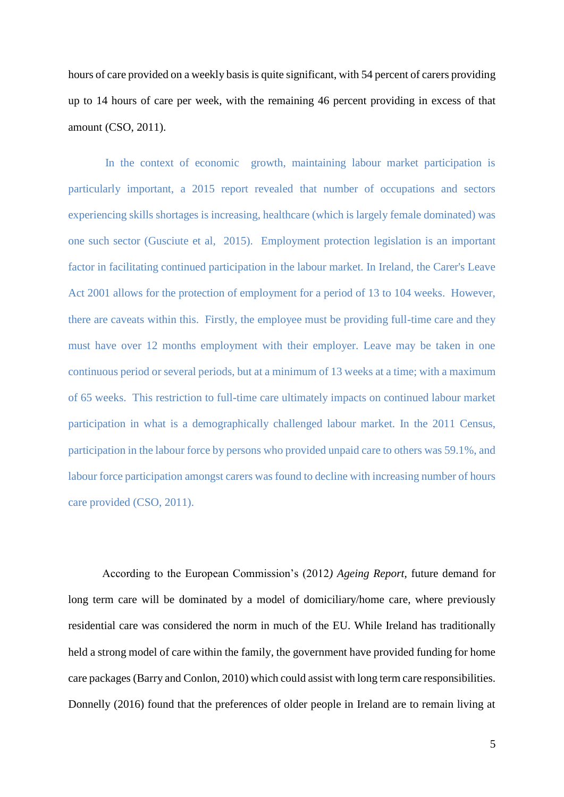hours of care provided on a weekly basis is quite significant, with 54 percent of carers providing up to 14 hours of care per week, with the remaining 46 percent providing in excess of that amount (CSO, 2011).

In the context of economic growth, maintaining labour market participation is particularly important, a 2015 report revealed that number of occupations and sectors experiencing skills shortages is increasing, healthcare (which is largely female dominated) was one such sector (Gusciute et al, 2015). Employment protection legislation is an important factor in facilitating continued participation in the labour market. In Ireland, the Carer's Leave Act 2001 allows for the protection of employment for a period of 13 to 104 weeks. However, there are caveats within this. Firstly, the employee must be providing full-time care and they must have over 12 months employment with their employer. Leave may be taken in one continuous period or several periods, but at a minimum of 13 weeks at a time; with a maximum of 65 weeks. This restriction to full-time care ultimately impacts on continued labour market participation in what is a demographically challenged labour market. In the 2011 Census, participation in the labour force by persons who provided unpaid care to others was 59.1%, and labour force participation amongst carers was found to decline with increasing number of hours care provided (CSO, 2011).

According to the European Commission's (2012*) Ageing Report*, future demand for long term care will be dominated by a model of domiciliary/home care, where previously residential care was considered the norm in much of the EU. While Ireland has traditionally held a strong model of care within the family, the government have provided funding for home care packages (Barry and Conlon, 2010) which could assist with long term care responsibilities. Donnelly (2016) found that the preferences of older people in Ireland are to remain living at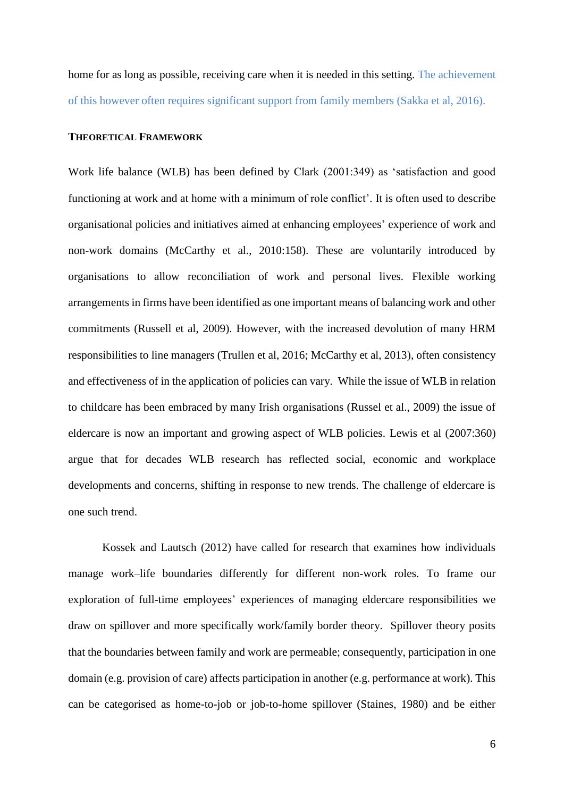home for as long as possible, receiving care when it is needed in this setting. The achievement of this however often requires significant support from family members (Sakka et al, 2016).

#### **THEORETICAL FRAMEWORK**

Work life balance (WLB) has been defined by Clark (2001:349) as 'satisfaction and good functioning at work and at home with a minimum of role conflict'. It is often used to describe organisational policies and initiatives aimed at enhancing employees' experience of work and non-work domains (McCarthy et al., 2010:158). These are voluntarily introduced by organisations to allow reconciliation of work and personal lives. Flexible working arrangements in firms have been identified as one important means of balancing work and other commitments (Russell et al, 2009). However, with the increased devolution of many HRM responsibilities to line managers (Trullen et al, 2016; McCarthy et al, 2013), often consistency and effectiveness of in the application of policies can vary. While the issue of WLB in relation to childcare has been embraced by many Irish organisations (Russel et al., 2009) the issue of eldercare is now an important and growing aspect of WLB policies. Lewis et al (2007:360) argue that for decades WLB research has reflected social, economic and workplace developments and concerns, shifting in response to new trends. The challenge of eldercare is one such trend.

Kossek and Lautsch (2012) have called for research that examines how individuals manage work–life boundaries differently for different non-work roles. To frame our exploration of full-time employees' experiences of managing eldercare responsibilities we draw on spillover and more specifically work/family border theory. Spillover theory posits that the boundaries between family and work are permeable; consequently, participation in one domain (e.g. provision of care) affects participation in another (e.g. performance at work). This can be categorised as home-to-job or job-to-home spillover (Staines, 1980) and be either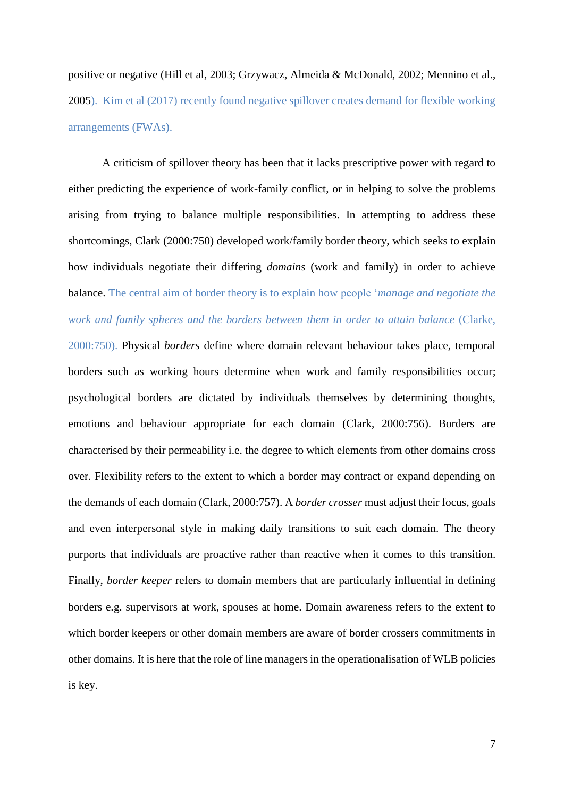positive or negative (Hill et al, 2003; Grzywacz, Almeida & McDonald, 2002; Mennino et al., 2005). Kim et al (2017) recently found negative spillover creates demand for flexible working arrangements (FWAs).

A criticism of spillover theory has been that it lacks prescriptive power with regard to either predicting the experience of work-family conflict, or in helping to solve the problems arising from trying to balance multiple responsibilities. In attempting to address these shortcomings, Clark (2000:750) developed work/family border theory, which seeks to explain how individuals negotiate their differing *domains* (work and family) in order to achieve balance. The central aim of border theory is to explain how people '*manage and negotiate the work and family spheres and the borders between them in order to attain balance* (Clarke, 2000:750). Physical *borders* define where domain relevant behaviour takes place, temporal borders such as working hours determine when work and family responsibilities occur; psychological borders are dictated by individuals themselves by determining thoughts, emotions and behaviour appropriate for each domain (Clark, 2000:756). Borders are characterised by their permeability i.e. the degree to which elements from other domains cross over. Flexibility refers to the extent to which a border may contract or expand depending on the demands of each domain (Clark, 2000:757). A *border crosser* must adjust their focus, goals and even interpersonal style in making daily transitions to suit each domain. The theory purports that individuals are proactive rather than reactive when it comes to this transition. Finally, *border keeper* refers to domain members that are particularly influential in defining borders e.g. supervisors at work, spouses at home. Domain awareness refers to the extent to which border keepers or other domain members are aware of border crossers commitments in other domains. It is here that the role of line managers in the operationalisation of WLB policies is key.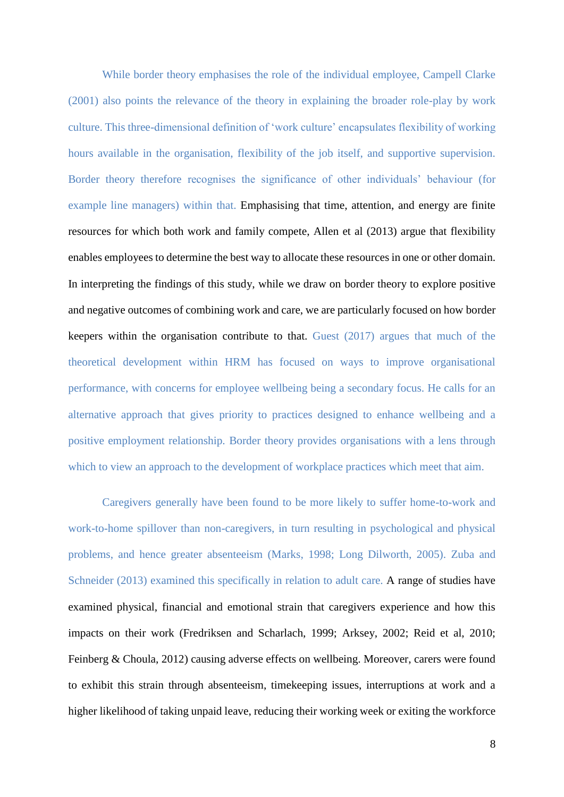While border theory emphasises the role of the individual employee, Campell Clarke (2001) also points the relevance of the theory in explaining the broader role-play by work culture. This three-dimensional definition of 'work culture' encapsulates flexibility of working hours available in the organisation, flexibility of the job itself, and supportive supervision. Border theory therefore recognises the significance of other individuals' behaviour (for example line managers) within that. Emphasising that time, attention, and energy are finite resources for which both work and family compete, Allen et al (2013) argue that flexibility enables employees to determine the best way to allocate these resources in one or other domain. In interpreting the findings of this study, while we draw on border theory to explore positive and negative outcomes of combining work and care, we are particularly focused on how border keepers within the organisation contribute to that. Guest (2017) argues that much of the theoretical development within HRM has focused on ways to improve organisational performance, with concerns for employee wellbeing being a secondary focus. He calls for an alternative approach that gives priority to practices designed to enhance wellbeing and a positive employment relationship. Border theory provides organisations with a lens through which to view an approach to the development of workplace practices which meet that aim.

Caregivers generally have been found to be more likely to suffer home-to-work and work-to-home spillover than non-caregivers, in turn resulting in psychological and physical problems, and hence greater absenteeism (Marks, 1998; Long Dilworth, 2005). Zuba and Schneider (2013) examined this specifically in relation to adult care. A range of studies have examined physical, financial and emotional strain that caregivers experience and how this impacts on their work (Fredriksen and Scharlach, 1999; Arksey, 2002; Reid et al, 2010; Feinberg & Choula, 2012) causing adverse effects on wellbeing. Moreover, carers were found to exhibit this strain through absenteeism, timekeeping issues, interruptions at work and a higher likelihood of taking unpaid leave, reducing their working week or exiting the workforce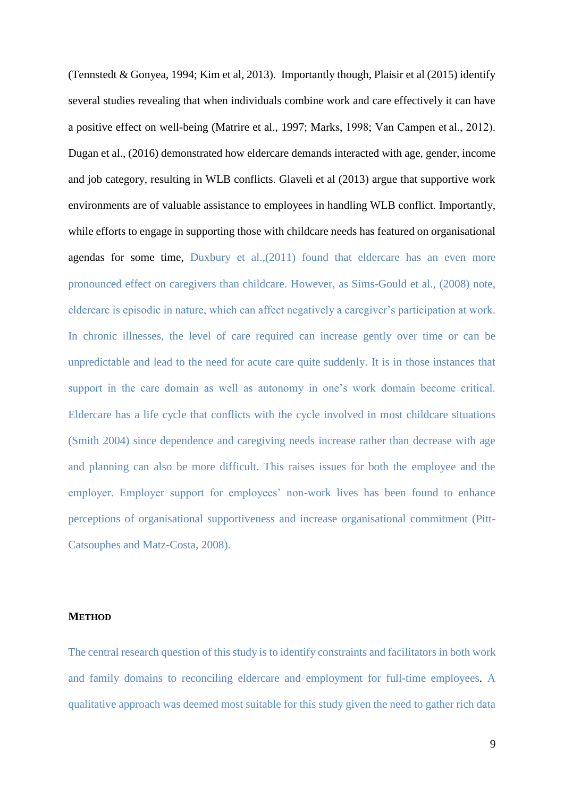(Tennstedt & Gonyea, 1994; Kim et al, 2013). Importantly though, Plaisir et al (2015) identify several studies revealing that when individuals combine work and care effectively it can have a positive effect on well-being (Matrire et al., 1997; Marks, 1998; Van Campen et al., 2012). Dugan et al., (2016) demonstrated how eldercare demands interacted with age, gender, income and job category, resulting in WLB conflicts. Glaveli et al (2013) argue that supportive work environments are of valuable assistance to employees in handling WLB conflict. Importantly, while efforts to engage in supporting those with childcare needs has featured on organisational agendas for some time, Duxbury et al.,(2011) found that eldercare has an even more pronounced effect on caregivers than childcare. However, as Sims-Gould et al., (2008) note, eldercare is episodic in nature, which can affect negatively a caregiver's participation at work. In chronic illnesses, the level of care required can increase gently over time or can be unpredictable and lead to the need for acute care quite suddenly. It is in those instances that support in the care domain as well as autonomy in one's work domain become critical. Eldercare has a life cycle that conflicts with the cycle involved in most childcare situations (Smith 2004) since dependence and caregiving needs increase rather than decrease with age and planning can also be more difficult. This raises issues for both the employee and the employer. Employer support for employees' non-work lives has been found to enhance perceptions of organisational supportiveness and increase organisational commitment (Pitt-Catsouphes and Matz-Costa, 2008).

### **METHOD**

The central research question of this study is to identify constraints and facilitators in both work and family domains to reconciling eldercare and employment for full-time employees. A qualitative approach was deemed most suitable for this study given the need to gather rich data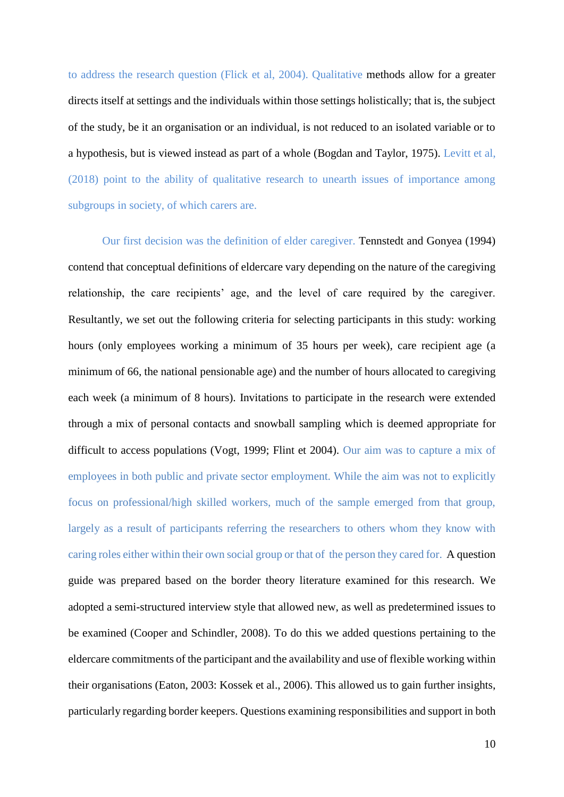to address the research question (Flick et al, 2004). Qualitative methods allow for a greater directs itself at settings and the individuals within those settings holistically; that is, the subject of the study, be it an organisation or an individual, is not reduced to an isolated variable or to a hypothesis, but is viewed instead as part of a whole (Bogdan and Taylor, 1975). Levitt et al, (2018) point to the ability of qualitative research to unearth issues of importance among subgroups in society, of which carers are.

Our first decision was the definition of elder caregiver. Tennstedt and Gonyea (1994) contend that conceptual definitions of eldercare vary depending on the nature of the caregiving relationship, the care recipients' age, and the level of care required by the caregiver. Resultantly, we set out the following criteria for selecting participants in this study: working hours (only employees working a minimum of 35 hours per week), care recipient age (a minimum of 66, the national pensionable age) and the number of hours allocated to caregiving each week (a minimum of 8 hours). Invitations to participate in the research were extended through a mix of personal contacts and snowball sampling which is deemed appropriate for difficult to access populations (Vogt, 1999; Flint et 2004). Our aim was to capture a mix of employees in both public and private sector employment. While the aim was not to explicitly focus on professional/high skilled workers, much of the sample emerged from that group, largely as a result of participants referring the researchers to others whom they know with caring roles either within their own social group or that of the person they cared for. A question guide was prepared based on the border theory literature examined for this research. We adopted a semi-structured interview style that allowed new, as well as predetermined issues to be examined (Cooper and Schindler, 2008). To do this we added questions pertaining to the eldercare commitments of the participant and the availability and use of flexible working within their organisations (Eaton, 2003: Kossek et al., 2006). This allowed us to gain further insights, particularly regarding border keepers. Questions examining responsibilities and support in both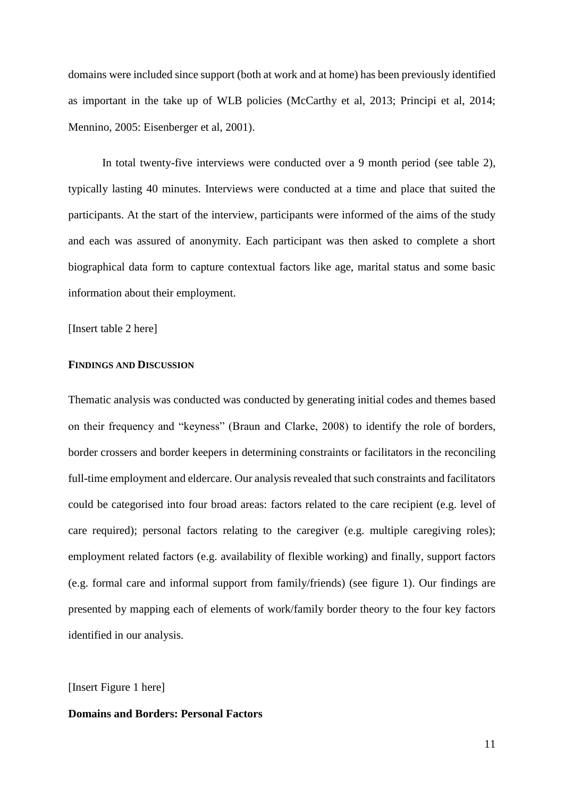domains were included since support (both at work and at home) has been previously identified as important in the take up of WLB policies (McCarthy et al, 2013; Principi et al, 2014; Mennino, 2005: Eisenberger et al, 2001).

In total twenty-five interviews were conducted over a 9 month period (see table 2), typically lasting 40 minutes. Interviews were conducted at a time and place that suited the participants. At the start of the interview, participants were informed of the aims of the study and each was assured of anonymity. Each participant was then asked to complete a short biographical data form to capture contextual factors like age, marital status and some basic information about their employment.

[Insert table 2 here]

## **FINDINGS AND DISCUSSION**

Thematic analysis was conducted was conducted by generating initial codes and themes based on their frequency and "keyness" (Braun and Clarke, 2008) to identify the role of borders, border crossers and border keepers in determining constraints or facilitators in the reconciling full-time employment and eldercare. Our analysis revealed that such constraints and facilitators could be categorised into four broad areas: factors related to the care recipient (e.g. level of care required); personal factors relating to the caregiver (e.g. multiple caregiving roles); employment related factors (e.g. availability of flexible working) and finally, support factors (e.g. formal care and informal support from family/friends) (see figure 1). Our findings are presented by mapping each of elements of work/family border theory to the four key factors identified in our analysis.

[Insert Figure 1 here]

## **Domains and Borders: Personal Factors**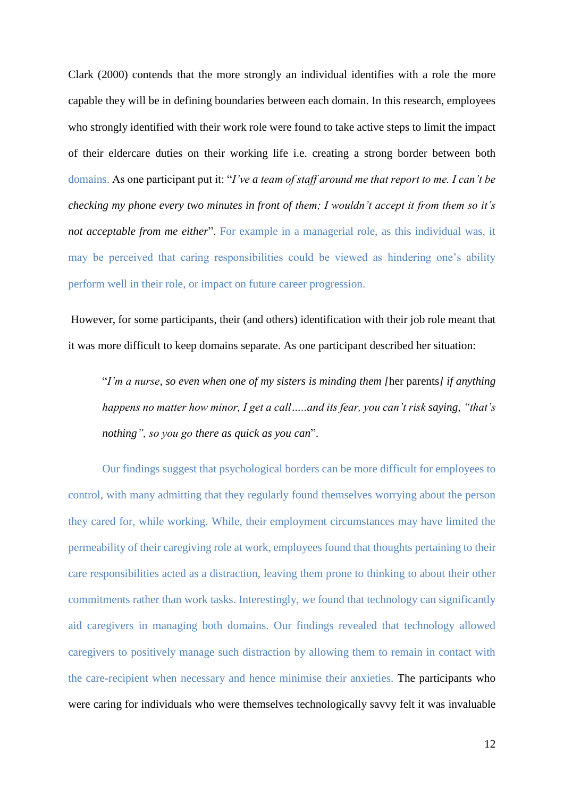Clark (2000) contends that the more strongly an individual identifies with a role the more capable they will be in defining boundaries between each domain. In this research, employees who strongly identified with their work role were found to take active steps to limit the impact of their eldercare duties on their working life i.e. creating a strong border between both domains. As one participant put it: "*I've a team of staff around me that report to me. I can't be checking my phone every two minutes in front of them; I wouldn't accept it from them so it's not acceptable from me either*". For example in a managerial role, as this individual was, it may be perceived that caring responsibilities could be viewed as hindering one's ability perform well in their role, or impact on future career progression.

However, for some participants, their (and others) identification with their job role meant that it was more difficult to keep domains separate. As one participant described her situation:

"*I'm a nurse, so even when one of my sisters is minding them [*her parents*] if anything happens no matter how minor, I get a call…..and its fear, you can't risk saying, "that's nothing", so you go there as quick as you can*".

Our findings suggest that psychological borders can be more difficult for employees to control, with many admitting that they regularly found themselves worrying about the person they cared for, while working. While, their employment circumstances may have limited the permeability of their caregiving role at work, employees found that thoughts pertaining to their care responsibilities acted as a distraction, leaving them prone to thinking to about their other commitments rather than work tasks. Interestingly, we found that technology can significantly aid caregivers in managing both domains. Our findings revealed that technology allowed caregivers to positively manage such distraction by allowing them to remain in contact with the care-recipient when necessary and hence minimise their anxieties. The participants who were caring for individuals who were themselves technologically savvy felt it was invaluable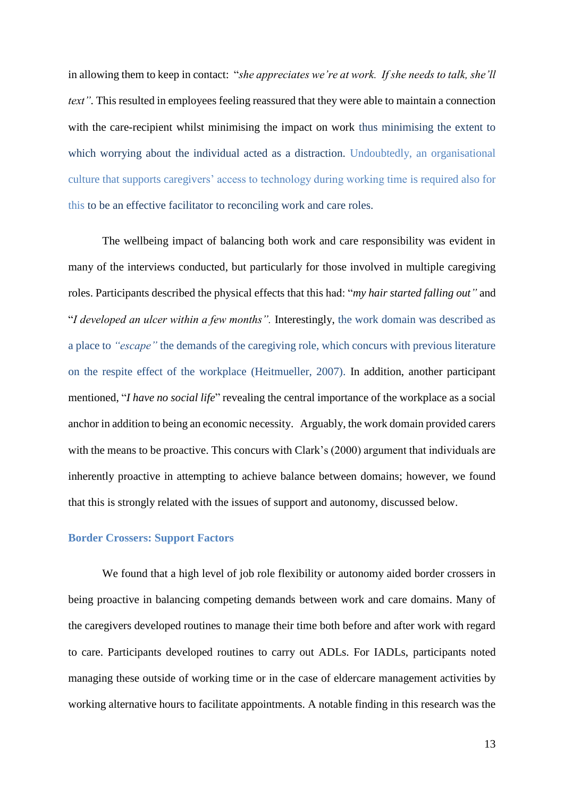in allowing them to keep in contact: "*she appreciates we're at work. If she needs to talk, she'll text*". This resulted in employees feeling reassured that they were able to maintain a connection with the care-recipient whilst minimising the impact on work thus minimising the extent to which worrying about the individual acted as a distraction. Undoubtedly, an organisational culture that supports caregivers' access to technology during working time is required also for this to be an effective facilitator to reconciling work and care roles.

The wellbeing impact of balancing both work and care responsibility was evident in many of the interviews conducted, but particularly for those involved in multiple caregiving roles. Participants described the physical effects that this had: "*my hair started falling out"* and "*I developed an ulcer within a few months".* Interestingly, the work domain was described as a place to *"escape"* the demands of the caregiving role, which concurs with previous literature on the respite effect of the workplace (Heitmueller, 2007). In addition, another participant mentioned, "*I have no social life*" revealing the central importance of the workplace as a social anchor in addition to being an economic necessity. Arguably, the work domain provided carers with the means to be proactive. This concurs with Clark's (2000) argument that individuals are inherently proactive in attempting to achieve balance between domains; however, we found that this is strongly related with the issues of support and autonomy, discussed below.

## **Border Crossers: Support Factors**

We found that a high level of job role flexibility or autonomy aided border crossers in being proactive in balancing competing demands between work and care domains. Many of the caregivers developed routines to manage their time both before and after work with regard to care. Participants developed routines to carry out ADLs. For IADLs, participants noted managing these outside of working time or in the case of eldercare management activities by working alternative hours to facilitate appointments. A notable finding in this research was the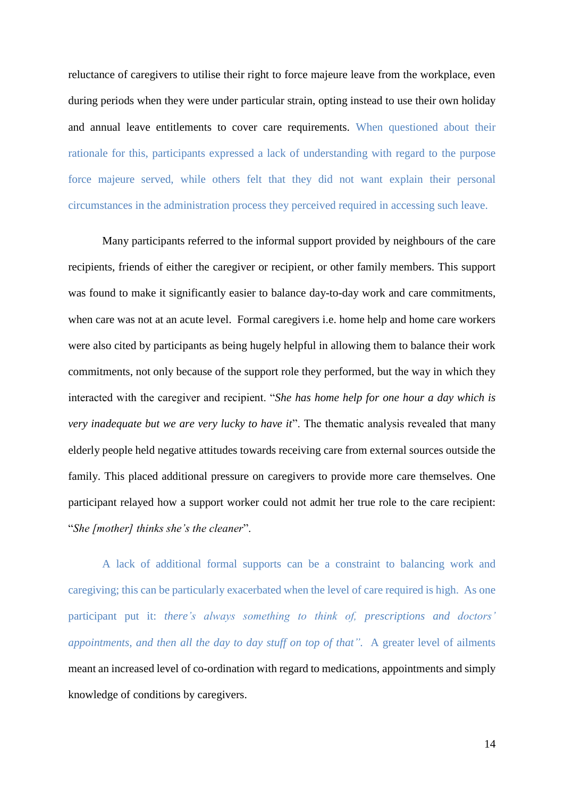reluctance of caregivers to utilise their right to force majeure leave from the workplace, even during periods when they were under particular strain, opting instead to use their own holiday and annual leave entitlements to cover care requirements. When questioned about their rationale for this, participants expressed a lack of understanding with regard to the purpose force majeure served, while others felt that they did not want explain their personal circumstances in the administration process they perceived required in accessing such leave.

Many participants referred to the informal support provided by neighbours of the care recipients, friends of either the caregiver or recipient, or other family members. This support was found to make it significantly easier to balance day-to-day work and care commitments, when care was not at an acute level. Formal caregivers i.e. home help and home care workers were also cited by participants as being hugely helpful in allowing them to balance their work commitments, not only because of the support role they performed, but the way in which they interacted with the caregiver and recipient. "*She has home help for one hour a day which is very inadequate but we are very lucky to have it*". The thematic analysis revealed that many elderly people held negative attitudes towards receiving care from external sources outside the family. This placed additional pressure on caregivers to provide more care themselves. One participant relayed how a support worker could not admit her true role to the care recipient: "*She [mother] thinks she's the cleaner*".

A lack of additional formal supports can be a constraint to balancing work and caregiving; this can be particularly exacerbated when the level of care required is high. As one participant put it: *there's always something to think of, prescriptions and doctors' appointments, and then all the day to day stuff on top of that".* A greater level of ailments meant an increased level of co-ordination with regard to medications, appointments and simply knowledge of conditions by caregivers.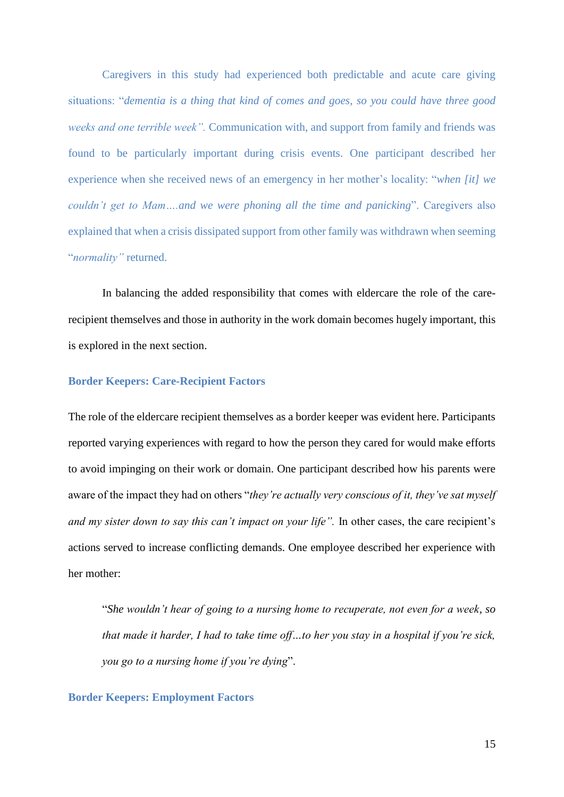Caregivers in this study had experienced both predictable and acute care giving situations: "*dementia is a thing that kind of comes and goes, so you could have three good weeks and one terrible week".* Communication with, and support from family and friends was found to be particularly important during crisis events. One participant described her experience when she received news of an emergency in her mother's locality: "*when [it] we couldn't get to Mam….and we were phoning all the time and panicking*". Caregivers also explained that when a crisis dissipated support from other family was withdrawn when seeming "*normality"* returned.

In balancing the added responsibility that comes with eldercare the role of the carerecipient themselves and those in authority in the work domain becomes hugely important, this is explored in the next section.

### **Border Keepers: Care-Recipient Factors**

The role of the eldercare recipient themselves as a border keeper was evident here. Participants reported varying experiences with regard to how the person they cared for would make efforts to avoid impinging on their work or domain. One participant described how his parents were aware of the impact they had on others "*they're actually very conscious of it, they've sat myself and my sister down to say this can't impact on your life".* In other cases, the care recipient's actions served to increase conflicting demands. One employee described her experience with her mother:

"*She wouldn't hear of going to a nursing home to recuperate, not even for a week, so that made it harder, I had to take time off…to her you stay in a hospital if you're sick, you go to a nursing home if you're dying*".

### **Border Keepers: Employment Factors**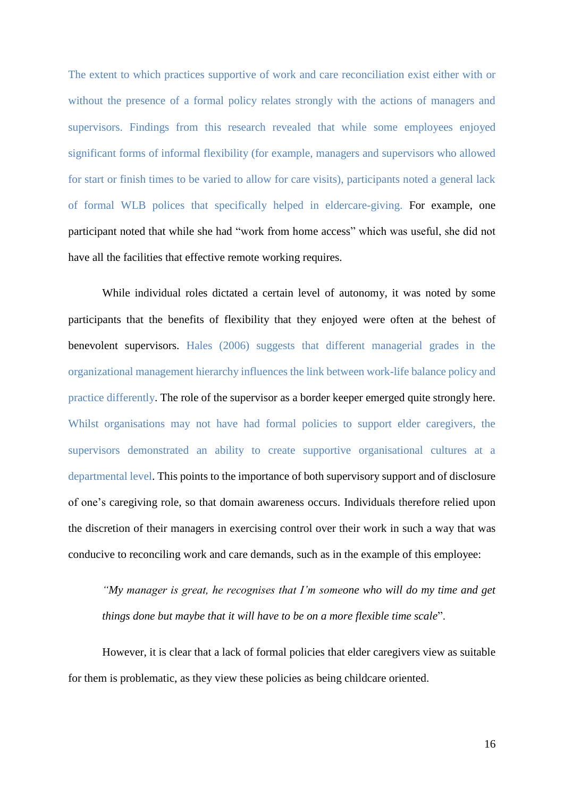The extent to which practices supportive of work and care reconciliation exist either with or without the presence of a formal policy relates strongly with the actions of managers and supervisors. Findings from this research revealed that while some employees enjoyed significant forms of informal flexibility (for example, managers and supervisors who allowed for start or finish times to be varied to allow for care visits), participants noted a general lack of formal WLB polices that specifically helped in eldercare-giving. For example, one participant noted that while she had "work from home access" which was useful, she did not have all the facilities that effective remote working requires.

While individual roles dictated a certain level of autonomy, it was noted by some participants that the benefits of flexibility that they enjoyed were often at the behest of benevolent supervisors. Hales (2006) suggests that different managerial grades in the organizational management hierarchy influences the link between work-life balance policy and practice differently. The role of the supervisor as a border keeper emerged quite strongly here. Whilst organisations may not have had formal policies to support elder caregivers, the supervisors demonstrated an ability to create supportive organisational cultures at a departmental level. This points to the importance of both supervisory support and of disclosure of one's caregiving role, so that domain awareness occurs. Individuals therefore relied upon the discretion of their managers in exercising control over their work in such a way that was conducive to reconciling work and care demands, such as in the example of this employee:

*"My manager is great, he recognises that I'm someone who will do my time and get things done but maybe that it will have to be on a more flexible time scale*".

However, it is clear that a lack of formal policies that elder caregivers view as suitable for them is problematic, as they view these policies as being childcare oriented.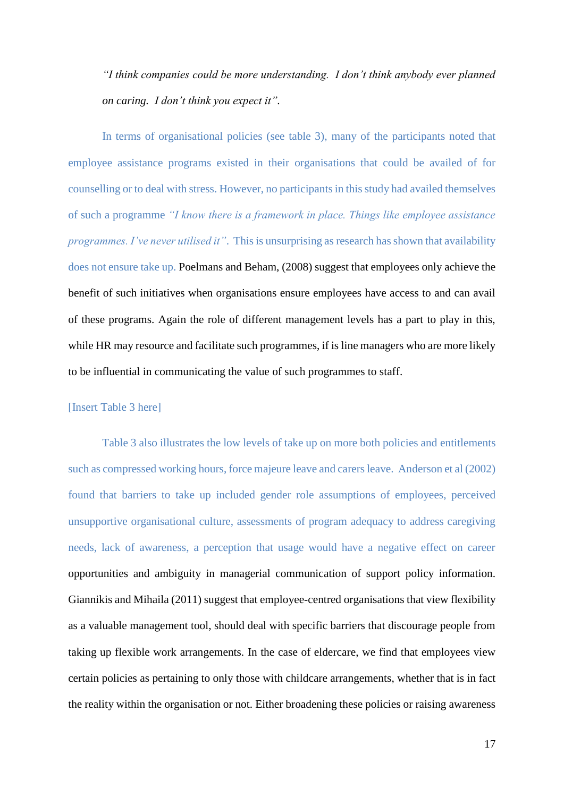*"I think companies could be more understanding. I don't think anybody ever planned on caring. I don't think you expect it".* 

In terms of organisational policies (see table 3), many of the participants noted that employee assistance programs existed in their organisations that could be availed of for counselling or to deal with stress. However, no participants in this study had availed themselves of such a programme *"I know there is a framework in place. Things like employee assistance programmes. I've never utilised it"*. This is unsurprising as research has shown that availability does not ensure take up. Poelmans and Beham, (2008) suggest that employees only achieve the benefit of such initiatives when organisations ensure employees have access to and can avail of these programs. Again the role of different management levels has a part to play in this, while HR may resource and facilitate such programmes, if is line managers who are more likely to be influential in communicating the value of such programmes to staff.

## [Insert Table 3 here]

Table 3 also illustrates the low levels of take up on more both policies and entitlements such as compressed working hours, force majeure leave and carers leave. Anderson et al (2002) found that barriers to take up included gender role assumptions of employees, perceived unsupportive organisational culture, assessments of program adequacy to address caregiving needs, lack of awareness, a perception that usage would have a negative effect on career opportunities and ambiguity in managerial communication of support policy information. Giannikis and Mihaila (2011) suggest that employee-centred organisations that view flexibility as a valuable management tool, should deal with specific barriers that discourage people from taking up flexible work arrangements. In the case of eldercare, we find that employees view certain policies as pertaining to only those with childcare arrangements, whether that is in fact the reality within the organisation or not. Either broadening these policies or raising awareness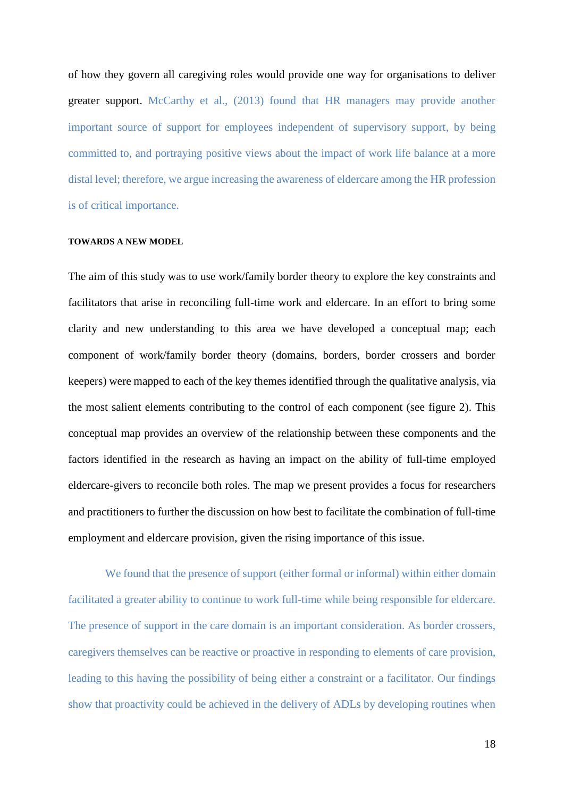of how they govern all caregiving roles would provide one way for organisations to deliver greater support. McCarthy et al., (2013) found that HR managers may provide another important source of support for employees independent of supervisory support, by being committed to, and portraying positive views about the impact of work life balance at a more distal level; therefore, we argue increasing the awareness of eldercare among the HR profession is of critical importance.

#### **TOWARDS A NEW MODEL**

The aim of this study was to use work/family border theory to explore the key constraints and facilitators that arise in reconciling full-time work and eldercare. In an effort to bring some clarity and new understanding to this area we have developed a conceptual map; each component of work/family border theory (domains, borders, border crossers and border keepers) were mapped to each of the key themes identified through the qualitative analysis, via the most salient elements contributing to the control of each component (see figure 2). This conceptual map provides an overview of the relationship between these components and the factors identified in the research as having an impact on the ability of full-time employed eldercare-givers to reconcile both roles. The map we present provides a focus for researchers and practitioners to further the discussion on how best to facilitate the combination of full-time employment and eldercare provision, given the rising importance of this issue.

We found that the presence of support (either formal or informal) within either domain facilitated a greater ability to continue to work full-time while being responsible for eldercare. The presence of support in the care domain is an important consideration. As border crossers, caregivers themselves can be reactive or proactive in responding to elements of care provision, leading to this having the possibility of being either a constraint or a facilitator. Our findings show that proactivity could be achieved in the delivery of ADLs by developing routines when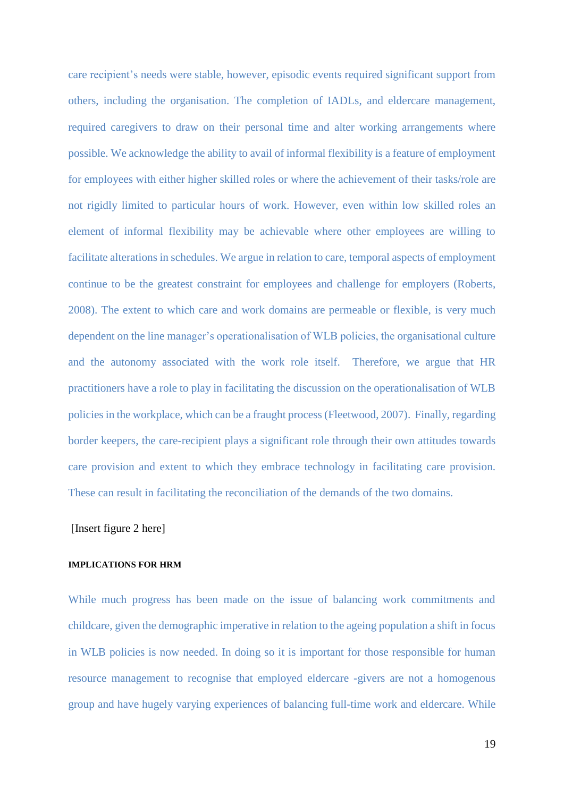care recipient's needs were stable, however, episodic events required significant support from others, including the organisation. The completion of IADLs, and eldercare management, required caregivers to draw on their personal time and alter working arrangements where possible. We acknowledge the ability to avail of informal flexibility is a feature of employment for employees with either higher skilled roles or where the achievement of their tasks/role are not rigidly limited to particular hours of work. However, even within low skilled roles an element of informal flexibility may be achievable where other employees are willing to facilitate alterations in schedules. We argue in relation to care, temporal aspects of employment continue to be the greatest constraint for employees and challenge for employers (Roberts, 2008). The extent to which care and work domains are permeable or flexible, is very much dependent on the line manager's operationalisation of WLB policies, the organisational culture and the autonomy associated with the work role itself. Therefore, we argue that HR practitioners have a role to play in facilitating the discussion on the operationalisation of WLB policies in the workplace, which can be a fraught process (Fleetwood, 2007). Finally, regarding border keepers, the care-recipient plays a significant role through their own attitudes towards care provision and extent to which they embrace technology in facilitating care provision. These can result in facilitating the reconciliation of the demands of the two domains.

## [Insert figure 2 here]

### **IMPLICATIONS FOR HRM**

While much progress has been made on the issue of balancing work commitments and childcare, given the demographic imperative in relation to the ageing population a shift in focus in WLB policies is now needed. In doing so it is important for those responsible for human resource management to recognise that employed eldercare -givers are not a homogenous group and have hugely varying experiences of balancing full-time work and eldercare. While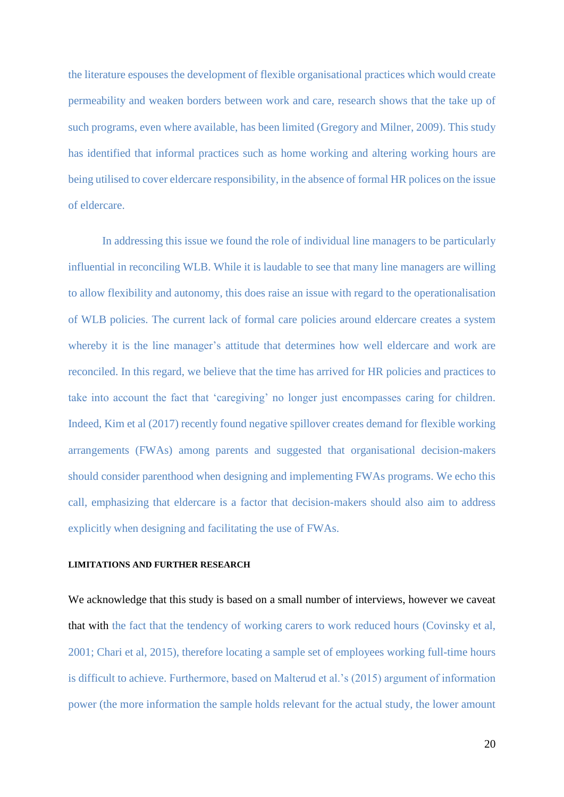the literature espouses the development of flexible organisational practices which would create permeability and weaken borders between work and care, research shows that the take up of such programs, even where available, has been limited (Gregory and Milner, 2009). This study has identified that informal practices such as home working and altering working hours are being utilised to cover eldercare responsibility, in the absence of formal HR polices on the issue of eldercare.

In addressing this issue we found the role of individual line managers to be particularly influential in reconciling WLB. While it is laudable to see that many line managers are willing to allow flexibility and autonomy, this does raise an issue with regard to the operationalisation of WLB policies. The current lack of formal care policies around eldercare creates a system whereby it is the line manager's attitude that determines how well eldercare and work are reconciled. In this regard, we believe that the time has arrived for HR policies and practices to take into account the fact that 'caregiving' no longer just encompasses caring for children. Indeed, Kim et al (2017) recently found negative spillover creates demand for flexible working arrangements (FWAs) among parents and suggested that organisational decision-makers should consider parenthood when designing and implementing FWAs programs. We echo this call, emphasizing that eldercare is a factor that decision-makers should also aim to address explicitly when designing and facilitating the use of FWAs.

# **LIMITATIONS AND FURTHER RESEARCH**

We acknowledge that this study is based on a small number of interviews, however we caveat that with the fact that the tendency of working carers to work reduced hours (Covinsky et al, 2001; Chari et al, 2015), therefore locating a sample set of employees working full-time hours is difficult to achieve. Furthermore, based on Malterud et al.'s (2015) argument of information power (the more information the sample holds relevant for the actual study, the lower amount

20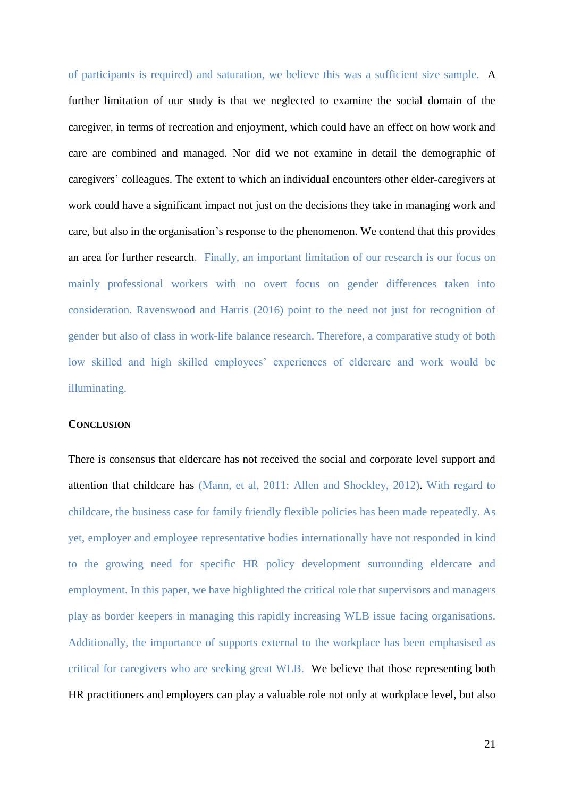of participants is required) and saturation, we believe this was a sufficient size sample. A further limitation of our study is that we neglected to examine the social domain of the caregiver, in terms of recreation and enjoyment, which could have an effect on how work and care are combined and managed. Nor did we not examine in detail the demographic of caregivers' colleagues. The extent to which an individual encounters other elder-caregivers at work could have a significant impact not just on the decisions they take in managing work and care, but also in the organisation's response to the phenomenon. We contend that this provides an area for further research. Finally, an important limitation of our research is our focus on mainly professional workers with no overt focus on gender differences taken into consideration. Ravenswood and Harris (2016) point to the need not just for recognition of gender but also of class in work-life balance research. Therefore, a comparative study of both low skilled and high skilled employees' experiences of eldercare and work would be illuminating.

## **CONCLUSION**

There is consensus that eldercare has not received the social and corporate level support and attention that childcare has (Mann, et al, 2011: Allen and Shockley, 2012). With regard to childcare, the business case for family friendly flexible policies has been made repeatedly. As yet, employer and employee representative bodies internationally have not responded in kind to the growing need for specific HR policy development surrounding eldercare and employment. In this paper, we have highlighted the critical role that supervisors and managers play as border keepers in managing this rapidly increasing WLB issue facing organisations. Additionally, the importance of supports external to the workplace has been emphasised as critical for caregivers who are seeking great WLB. We believe that those representing both HR practitioners and employers can play a valuable role not only at workplace level, but also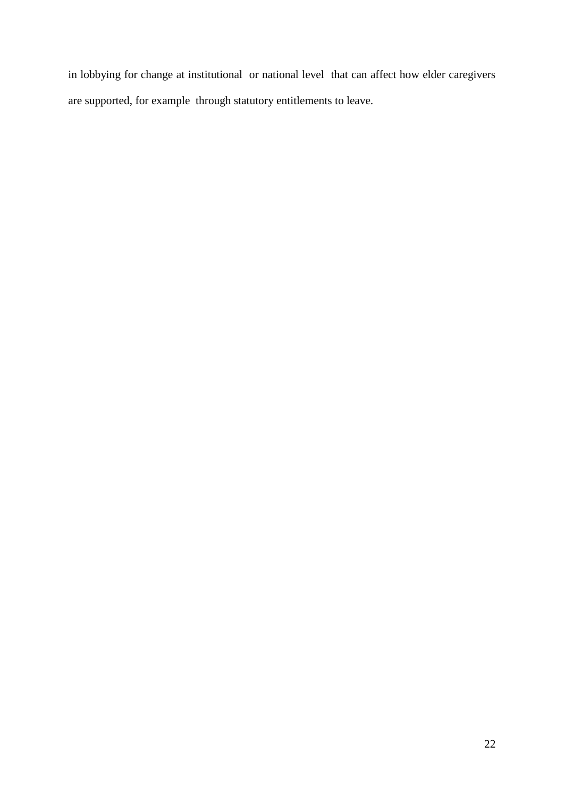in lobbying for change at institutional or national level that can affect how elder caregivers are supported, for example through statutory entitlements to leave.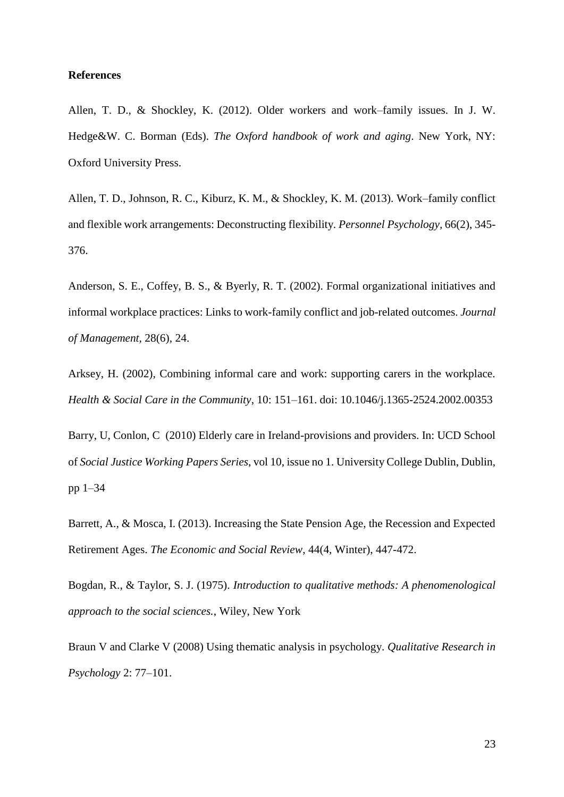## **References**

Allen, T. D., & Shockley, K. (2012). Older workers and work–family issues. In J. W. Hedge&W. C. Borman (Eds). *The Oxford handbook of work and aging*. New York, NY: Oxford University Press.

Allen, T. D., Johnson, R. C., Kiburz, K. M., & Shockley, K. M. (2013). Work–family conflict and flexible work arrangements: Deconstructing flexibility. *Personnel Psychology,* 66(2), 345- 376.

Anderson, S. E., Coffey, B. S., & Byerly, R. T. (2002). Formal organizational initiatives and informal workplace practices: Links to work-family conflict and job-related outcomes. *Journal of Management,* 28(6), 24.

Arksey, H. (2002), Combining informal care and work: supporting carers in the workplace. *Health & Social Care in the Community*, 10: 151–161. doi: 10.1046/j.1365-2524.2002.00353

Barry, U, Conlon, C (2010) Elderly care in Ireland-provisions and providers. In: UCD School of *Social Justice Working Papers Series*, vol 10, issue no 1. University College Dublin, Dublin, pp 1–34

Barrett, A., & Mosca, I. (2013). Increasing the State Pension Age, the Recession and Expected Retirement Ages. *The Economic and Social Review*, 44(4, Winter), 447-472.

Bogdan, R., & Taylor, S. J. (1975). *Introduction to qualitative methods: A phenomenological approach to the social sciences.*, Wiley, New York

Braun V and Clarke V (2008) Using thematic analysis in psychology. *Qualitative Research in Psychology* 2: 77–101.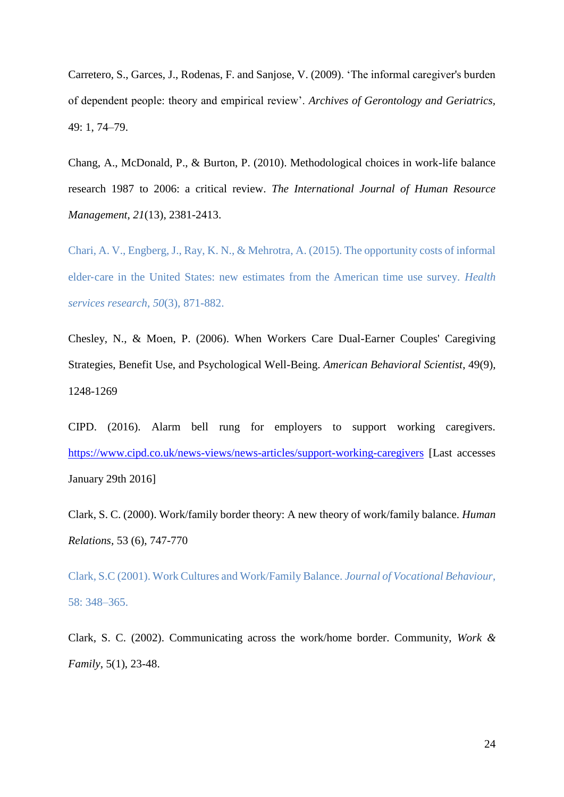Carretero, S., Garces, J., Rodenas, F. and Sanjose, V. (2009). 'The informal caregiver's burden of dependent people: theory and empirical review'. *Archives of Gerontology and Geriatrics,*  49: 1, 74–79.

Chang, A., McDonald, P., & Burton, P. (2010). Methodological choices in work-life balance research 1987 to 2006: a critical review. *The International Journal of Human Resource Management*, *21*(13), 2381-2413.

Chari, A. V., Engberg, J., Ray, K. N., & Mehrotra, A. (2015). The opportunity costs of informal elder‐care in the United States: new estimates from the American time use survey. *Health services research*, *50*(3), 871-882.

Chesley, N., & Moen, P. (2006). When Workers Care Dual-Earner Couples' Caregiving Strategies, Benefit Use, and Psychological Well-Being. *American Behavioral Scientist*, 49(9), 1248-1269

CIPD. (2016). Alarm bell rung for employers to support working caregivers. <https://www.cipd.co.uk/news-views/news-articles/support-working-caregivers> [Last accesses January 29th 2016]

Clark, S. C. (2000). Work/family border theory: A new theory of work/family balance. *Human Relations,* 53 (6), 747-770

Clark, S.C (2001). Work Cultures and Work/Family Balance. *Journal of Vocational Behaviour*, 58: 348–365.

Clark, S. C. (2002). Communicating across the work/home border. Community, *Work & Family*, 5(1), 23-48.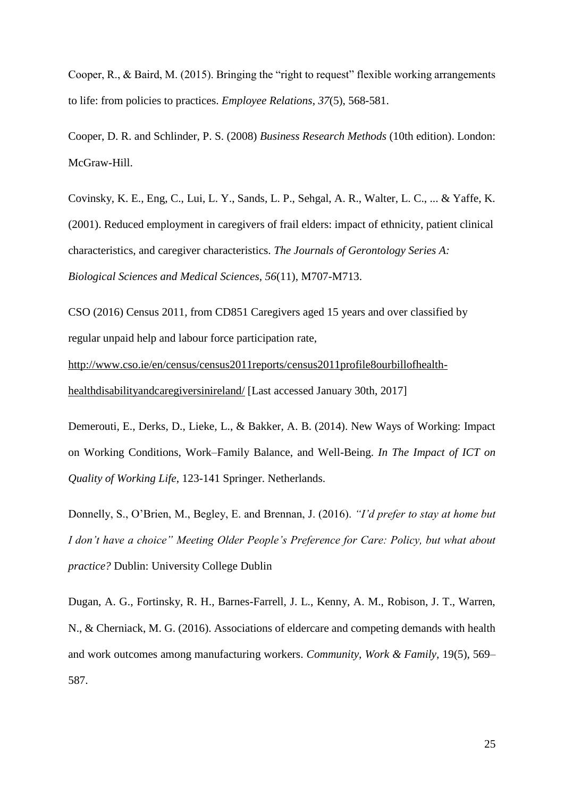Cooper, R., & Baird, M. (2015). Bringing the "right to request" flexible working arrangements to life: from policies to practices. *Employee Relations*, *37*(5), 568-581.

Cooper, D. R. and Schlinder, P. S. (2008) *Business Research Methods* (10th edition). London: McGraw-Hill.

Covinsky, K. E., Eng, C., Lui, L. Y., Sands, L. P., Sehgal, A. R., Walter, L. C., ... & Yaffe, K. (2001). Reduced employment in caregivers of frail elders: impact of ethnicity, patient clinical characteristics, and caregiver characteristics. *The Journals of Gerontology Series A: Biological Sciences and Medical Sciences*, *56*(11), M707-M713.

CSO (2016) Census 2011, from CD851 Caregivers aged 15 years and over classified by regular unpaid help and labour force participation rate,

[http://www.cso.ie/en/census/census2011reports/census2011profile8ourbillofhealth](http://www.cso.ie/en/census/census2011reports/census2011profile8ourbillofhealth-healthdisabilityandcaregiversinireland/)[healthdisabilityandcaregiversinireland/](http://www.cso.ie/en/census/census2011reports/census2011profile8ourbillofhealth-healthdisabilityandcaregiversinireland/) [Last accessed January 30th, 2017]

Demerouti, E., Derks, D., Lieke, L., & Bakker, A. B. (2014). New Ways of Working: Impact on Working Conditions, Work–Family Balance, and Well-Being. *In The Impact of ICT on Quality of Working Life*, 123-141 Springer. Netherlands.

Donnelly, S., O'Brien, M., Begley, E. and Brennan, J. (2016). *"I'd prefer to stay at home but I don't have a choice" Meeting Older People's Preference for Care: Policy, but what about practice?* Dublin: University College Dublin

Dugan, A. G., Fortinsky, R. H., Barnes-Farrell, J. L., Kenny, A. M., Robison, J. T., Warren, N., & Cherniack, M. G. (2016). Associations of eldercare and competing demands with health and work outcomes among manufacturing workers. *Community, Work & Family,* 19(5), 569– 587.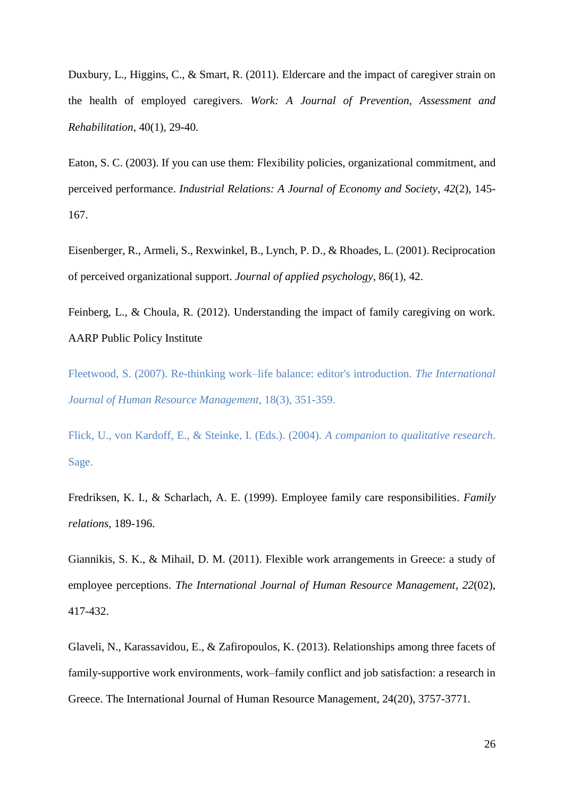Duxbury, L., Higgins, C., & Smart, R. (2011). Eldercare and the impact of caregiver strain on the health of employed caregivers. *Work: A Journal of Prevention, Assessment and Rehabilitation,* 40(1), 29-40.

Eaton, S. C. (2003). If you can use them: Flexibility policies, organizational commitment, and perceived performance. *Industrial Relations: A Journal of Economy and Society*, *42*(2), 145- 167.

Eisenberger, R., Armeli, S., Rexwinkel, B., Lynch, P. D., & Rhoades, L. (2001). Reciprocation of perceived organizational support. *Journal of applied psychology*, 86(1), 42.

Feinberg, L., & Choula, R. (2012). Understanding the impact of family caregiving on work. AARP Public Policy Institute

Fleetwood, S. (2007). Re-thinking work–life balance: editor's introduction. *The International Journal of Human Resource Management*, 18(3), 351-359.

Flick, U., von Kardoff, E., & Steinke, I. (Eds.). (2004). *A companion to qualitative research*. Sage.

Fredriksen, K. I., & Scharlach, A. E. (1999). Employee family care responsibilities. *Family relations*, 189-196.

Giannikis, S. K., & Mihail, D. M. (2011). Flexible work arrangements in Greece: a study of employee perceptions. *The International Journal of Human Resource Management*, *22*(02), 417-432.

Glaveli, N., Karassavidou, E., & Zafiropoulos, K. (2013). Relationships among three facets of family-supportive work environments, work–family conflict and job satisfaction: a research in Greece. The International Journal of Human Resource Management, 24(20), 3757-3771.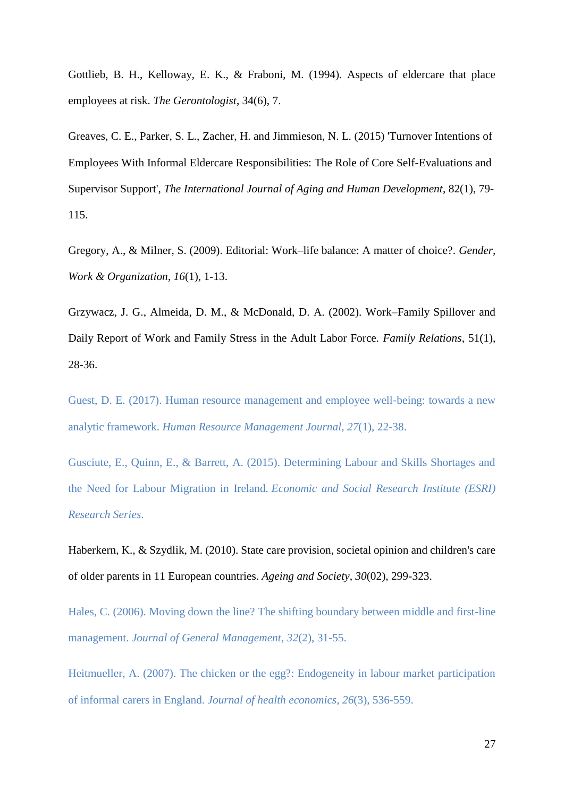Gottlieb, B. H., Kelloway, E. K., & Fraboni, M. (1994). Aspects of eldercare that place employees at risk. *The Gerontologist*, 34(6), 7.

Greaves, C. E., Parker, S. L., Zacher, H. and Jimmieson, N. L. (2015) 'Turnover Intentions of Employees With Informal Eldercare Responsibilities: The Role of Core Self-Evaluations and Supervisor Support', *The International Journal of Aging and Human Development*, 82(1), 79- 115.

Gregory, A., & Milner, S. (2009). Editorial: Work–life balance: A matter of choice?. *Gender, Work & Organization*, *16*(1), 1-13.

Grzywacz, J. G., Almeida, D. M., & McDonald, D. A. (2002). Work–Family Spillover and Daily Report of Work and Family Stress in the Adult Labor Force*. Family Relations*, 51(1), 28-36.

Guest, D. E. (2017). Human resource management and employee well‐being: towards a new analytic framework. *Human Resource Management Journal*, *27*(1), 22-38.

Gusciute, E., Quinn, E., & Barrett, A. (2015). Determining Labour and Skills Shortages and the Need for Labour Migration in Ireland. *Economic and Social Research Institute (ESRI) Research Series*.

Haberkern, K., & Szydlik, M. (2010). State care provision, societal opinion and children's care of older parents in 11 European countries. *Ageing and Society*, *30*(02), 299-323.

Hales, C. (2006). Moving down the line? The shifting boundary between middle and first-line management. *Journal of General Management*, *32*(2), 31-55.

Heitmueller, A. (2007). The chicken or the egg?: Endogeneity in labour market participation of informal carers in England. *Journal of health economics*, *26*(3), 536-559.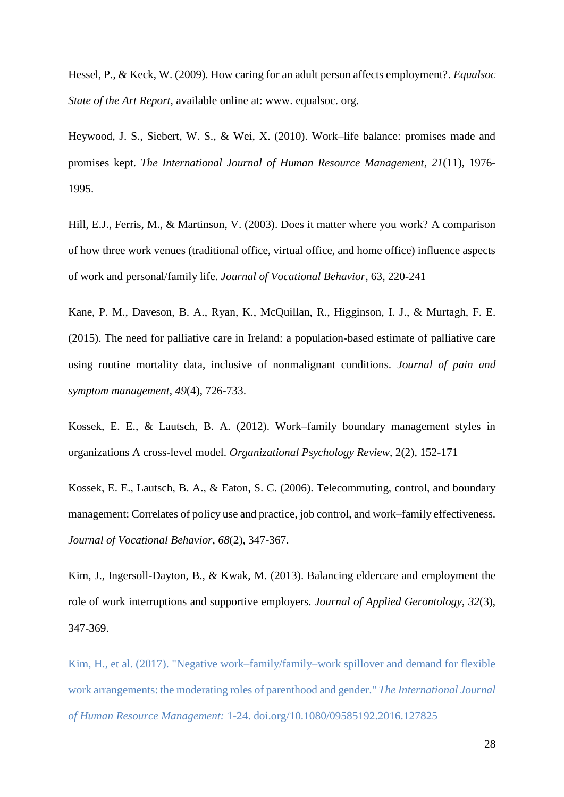Hessel, P., & Keck, W. (2009). How caring for an adult person affects employment?. *Equalsoc State of the Art Report,* available online at: www. equalsoc. org.

Heywood, J. S., Siebert, W. S., & Wei, X. (2010). Work–life balance: promises made and promises kept. *The International Journal of Human Resource Management*, *21*(11), 1976- 1995.

Hill, E.J., Ferris, M., & Martinson, V. (2003). Does it matter where you work? A comparison of how three work venues (traditional office, virtual office, and home office) influence aspects of work and personal/family life. *Journal of Vocational Behavior*, 63, 220-241

Kane, P. M., Daveson, B. A., Ryan, K., McQuillan, R., Higginson, I. J., & Murtagh, F. E. (2015). The need for palliative care in Ireland: a population-based estimate of palliative care using routine mortality data, inclusive of nonmalignant conditions. *Journal of pain and symptom management*, *49*(4), 726-733.

Kossek, E. E., & Lautsch, B. A. (2012). Work–family boundary management styles in organizations A cross-level model. *Organizational Psychology Review*, 2(2), 152-171

Kossek, E. E., Lautsch, B. A., & Eaton, S. C. (2006). Telecommuting, control, and boundary management: Correlates of policy use and practice, job control, and work–family effectiveness. *Journal of Vocational Behavior*, *68*(2), 347-367.

Kim, J., Ingersoll-Dayton, B., & Kwak, M. (2013). Balancing eldercare and employment the role of work interruptions and supportive employers. *Journal of Applied Gerontology*, *32*(3), 347-369.

Kim, H., et al. (2017). "Negative work–family/family–work spillover and demand for flexible work arrangements: the moderating roles of parenthood and gender." *The International Journal of Human Resource Management:* 1-24. doi.org/10.1080/09585192.2016.127825

28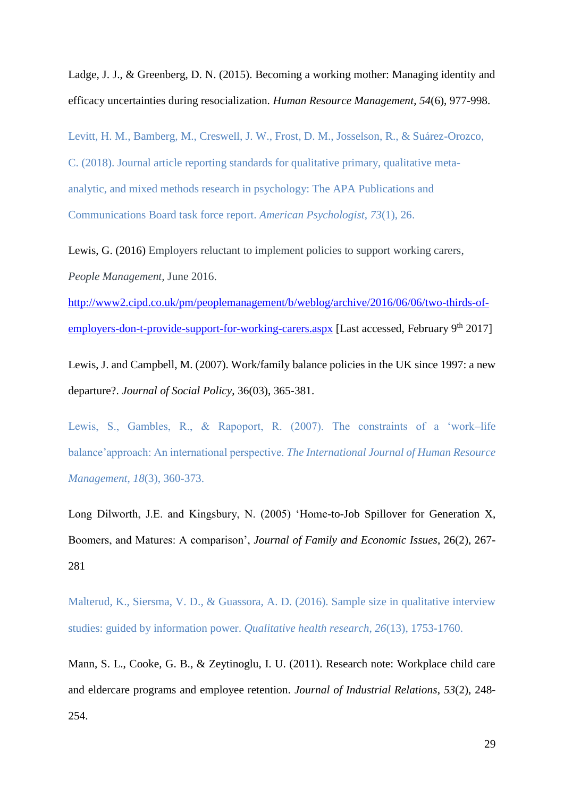Ladge, J. J., & Greenberg, D. N. (2015). Becoming a working mother: Managing identity and efficacy uncertainties during resocialization. *Human Resource Management*, *54*(6), 977-998.

Levitt, H. M., Bamberg, M., Creswell, J. W., Frost, D. M., Josselson, R., & Suárez-Orozco, C. (2018). Journal article reporting standards for qualitative primary, qualitative metaanalytic, and mixed methods research in psychology: The APA Publications and Communications Board task force report. *American Psychologist*, *73*(1), 26.

Lewis, G. (2016) Employers reluctant to implement policies to support working carers, *People Management,* June 2016.

[http://www2.cipd.co.uk/pm/peoplemanagement/b/weblog/archive/2016/06/06/two-thirds-of](http://www2.cipd.co.uk/pm/peoplemanagement/b/weblog/archive/2016/06/06/two-thirds-of-employers-don-t-provide-support-for-working-carers.aspx)[employers-don-t-provide-support-for-working-carers.aspx](http://www2.cipd.co.uk/pm/peoplemanagement/b/weblog/archive/2016/06/06/two-thirds-of-employers-don-t-provide-support-for-working-carers.aspx) [Last accessed, February 9<sup>th</sup> 2017]

Lewis, J. and Campbell, M. (2007). Work/family balance policies in the UK since 1997: a new departure?. *Journal of Social Policy*, 36(03), 365-381.

Lewis, S., Gambles, R., & Rapoport, R. (2007). The constraints of a 'work–life balance'approach: An international perspective. *The International Journal of Human Resource Management*, *18*(3), 360-373.

Long Dilworth, J.E. and Kingsbury, N. (2005) 'Home-to-Job Spillover for Generation X, Boomers, and Matures: A comparison', *Journal of Family and Economic Issues*, 26(2), 267- 281

Malterud, K., Siersma, V. D., & Guassora, A. D. (2016). Sample size in qualitative interview studies: guided by information power. *Qualitative health research*, *26*(13), 1753-1760.

Mann, S. L., Cooke, G. B., & Zeytinoglu, I. U. (2011). Research note: Workplace child care and eldercare programs and employee retention. *Journal of Industrial Relations*, *53*(2), 248- 254.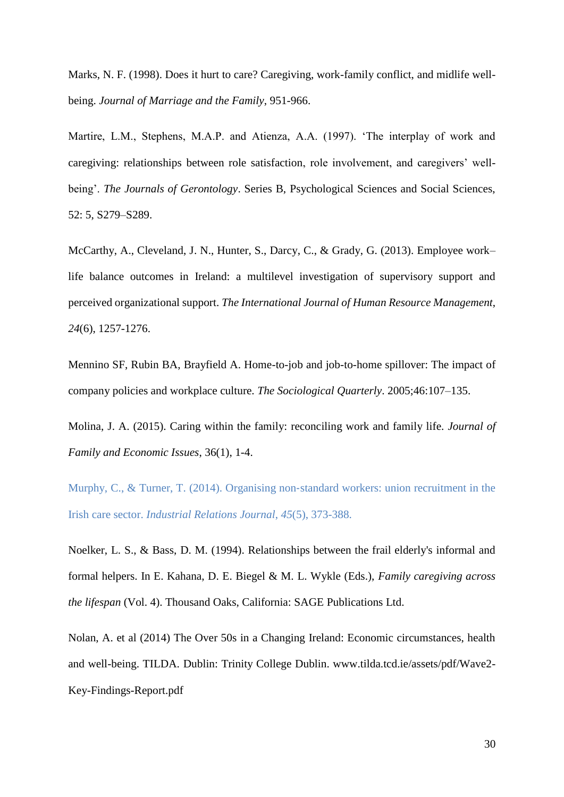Marks, N. F. (1998). Does it hurt to care? Caregiving, work-family conflict, and midlife wellbeing. *Journal of Marriage and the Family*, 951-966.

Martire, L.M., Stephens, M.A.P. and Atienza, A.A. (1997). 'The interplay of work and caregiving: relationships between role satisfaction, role involvement, and caregivers' wellbeing'. *The Journals of Gerontology*. Series B, Psychological Sciences and Social Sciences, 52: 5, S279–S289.

McCarthy, A., Cleveland, J. N., Hunter, S., Darcy, C., & Grady, G. (2013). Employee work– life balance outcomes in Ireland: a multilevel investigation of supervisory support and perceived organizational support. *The International Journal of Human Resource Management*, *24*(6), 1257-1276.

Mennino SF, Rubin BA, Brayfield A. Home-to-job and job-to-home spillover: The impact of company policies and workplace culture. *The Sociological Quarterly*. 2005;46:107–135.

Molina, J. A. (2015). Caring within the family: reconciling work and family life. *Journal of Family and Economic Issues*, 36(1), 1-4.

Murphy, C., & Turner, T. (2014). Organising non-standard workers: union recruitment in the Irish care sector. *Industrial Relations Journal*, *45*(5), 373-388.

Noelker, L. S., & Bass, D. M. (1994). Relationships between the frail elderly's informal and formal helpers. In E. Kahana, D. E. Biegel & M. L. Wykle (Eds.), *Family caregiving across the lifespan* (Vol. 4). Thousand Oaks, California: SAGE Publications Ltd.

Nolan, A. et al (2014) The Over 50s in a Changing Ireland: Economic circumstances, health and well-being. TILDA. Dublin: Trinity College Dublin. www.tilda.tcd.ie/assets/pdf/Wave2- Key-Findings-Report.pdf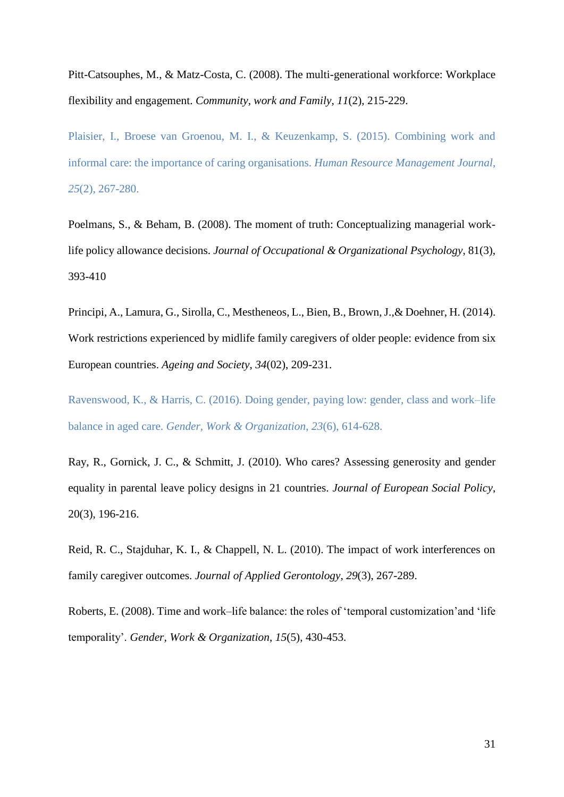Pitt-Catsouphes, M., & Matz-Costa, C. (2008). The multi-generational workforce: Workplace flexibility and engagement. *Community, work and Family*, *11*(2), 215-229.

Plaisier, I., Broese van Groenou, M. I., & Keuzenkamp, S. (2015). Combining work and informal care: the importance of caring organisations. *Human Resource Management Journal*, *25*(2), 267-280.

Poelmans, S., & Beham, B. (2008). The moment of truth: Conceptualizing managerial worklife policy allowance decisions. *Journal of Occupational & Organizational Psychology*, 81(3), 393-410

Principi, A., Lamura, G., Sirolla, C., Mestheneos, L., Bien, B., Brown, J.,& Doehner, H. (2014). Work restrictions experienced by midlife family caregivers of older people: evidence from six European countries. *Ageing and Society*, *34*(02), 209-231.

Ravenswood, K., & Harris, C. (2016). Doing gender, paying low: gender, class and work–life balance in aged care. *Gender, Work & Organization*, *23*(6), 614-628.

Ray, R., Gornick, J. C., & Schmitt, J. (2010). Who cares? Assessing generosity and gender equality in parental leave policy designs in 21 countries. *Journal of European Social Policy*, 20(3), 196-216.

Reid, R. C., Stajduhar, K. I., & Chappell, N. L. (2010). The impact of work interferences on family caregiver outcomes. *Journal of Applied Gerontology*, *29*(3), 267-289.

Roberts, E. (2008). Time and work–life balance: the roles of 'temporal customization'and 'life temporality'. *Gender, Work & Organization*, *15*(5), 430-453.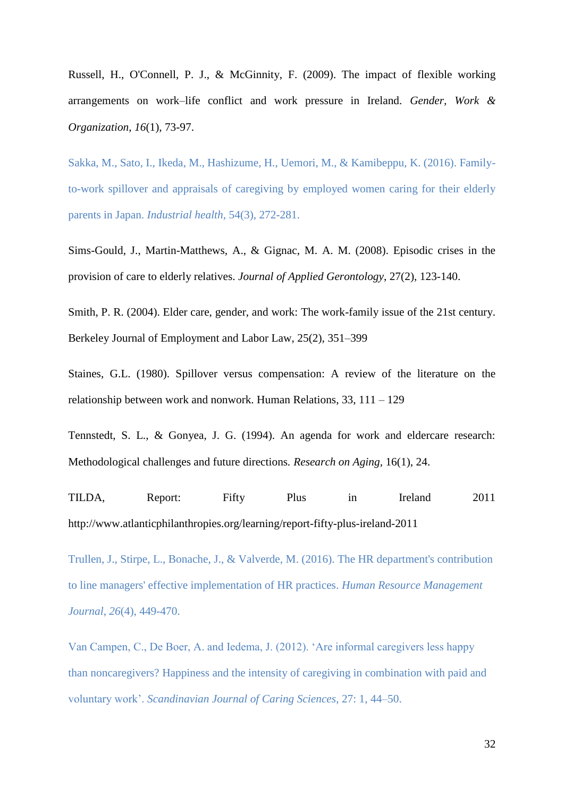Russell, H., O'Connell, P. J., & McGinnity, F. (2009). The impact of flexible working arrangements on work–life conflict and work pressure in Ireland. *Gender, Work & Organization*, *16*(1), 73-97.

Sakka, M., Sato, I., Ikeda, M., Hashizume, H., Uemori, M., & Kamibeppu, K. (2016). Familyto-work spillover and appraisals of caregiving by employed women caring for their elderly parents in Japan. *Industrial health*, 54(3), 272-281.

Sims-Gould, J., Martin-Matthews, A., & Gignac, M. A. M. (2008). Episodic crises in the provision of care to elderly relatives. *Journal of Applied Gerontology*, 27(2), 123-140.

Smith, P. R. (2004). Elder care, gender, and work: The work-family issue of the 21st century. Berkeley Journal of Employment and Labor Law, 25(2), 351–399

Staines, G.L. (1980). Spillover versus compensation: A review of the literature on the relationship between work and nonwork. Human Relations, 33, 111 – 129

Tennstedt, S. L., & Gonyea, J. G. (1994). An agenda for work and eldercare research: Methodological challenges and future directions*. Research on Aging,* 16(1), 24.

TILDA, Report: Fifty Plus in Ireland 2011 http://www.atlanticphilanthropies.org/learning/report-fifty-plus-ireland-2011

Trullen, J., Stirpe, L., Bonache, J., & Valverde, M. (2016). The HR department's contribution to line managers' effective implementation of HR practices. *Human Resource Management Journal*, *26*(4), 449-470.

Van Campen, C., De Boer, A. and Iedema, J. (2012). 'Are informal caregivers less happy than noncaregivers? Happiness and the intensity of caregiving in combination with paid and voluntary work'. *Scandinavian Journal of Caring Sciences*, 27: 1, 44–50.